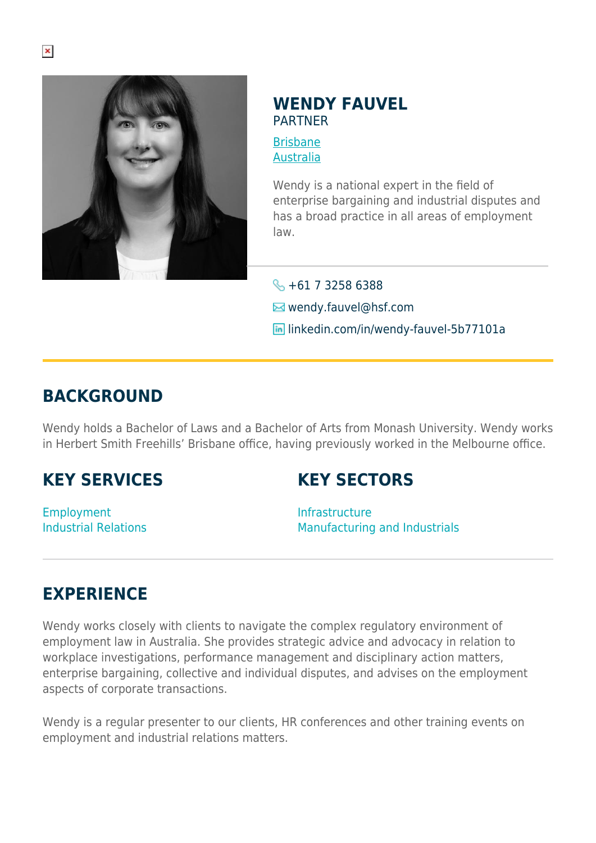

### **WENDY FAUVEL** PARTNER

[Brisbane](https://www.herbertsmithfreehills.com/where-we-work/brisbane) [Australia](https://www.herbertsmithfreehills.com/where-we-work/australia)

Wendy is a national expert in the field of enterprise bargaining and industrial disputes and has a broad practice in all areas of employment law.

 $\leftarrow +61$  7 3258 6388 **E**wendy.fauvel@hsf.com **in** linkedin.com/in/wendy-fauvel-5b77101a

## **BACKGROUND**

Wendy holds a Bachelor of Laws and a Bachelor of Arts from Monash University. Wendy works in Herbert Smith Freehills' Brisbane office, having previously worked in the Melbourne office.

# **KEY SERVICES**

# **KEY SECTORS**

Employment Industrial Relations Infrastructure Manufacturing and Industrials

## **EXPERIENCE**

Wendy works closely with clients to navigate the complex regulatory environment of employment law in Australia. She provides strategic advice and advocacy in relation to workplace investigations, performance management and disciplinary action matters, enterprise bargaining, collective and individual disputes, and advises on the employment aspects of corporate transactions.

Wendy is a regular presenter to our clients, HR conferences and other training events on employment and industrial relations matters.